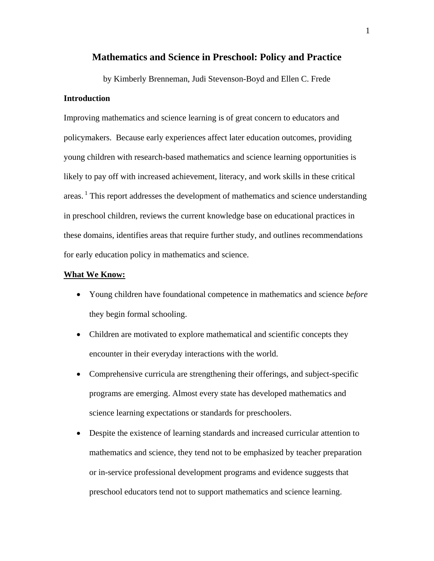# **Mathematics and Science in Preschool: Policy and Practice**

by Kimberly Brenneman, Judi Stevenson-Boyd and Ellen C. Frede **Introduction**

Improving mathematics and science learning is of great concern to educators and policymakers. Because early experiences affect later education outcomes, providing young children with research-based mathematics and science learning opportunities is likely to pay off with increased achievement, literacy, and work skills in these critical areas.<sup>1</sup> This report addresses the development of mathematics and science understanding in preschool children, reviews the current knowledge base on educational practices in these domains, identifies areas that require further study, and outlines recommendations for early education policy in mathematics and science.

# **What We Know:**

- Young children have foundational competence in mathematics and science *before* they begin formal schooling.
- Children are motivated to explore mathematical and scientific concepts they encounter in their everyday interactions with the world.
- Comprehensive curricula are strengthening their offerings, and subject-specific programs are emerging. Almost every state has developed mathematics and science learning expectations or standards for preschoolers.
- Despite the existence of learning standards and increased curricular attention to mathematics and science, they tend not to be emphasized by teacher preparation or in-service professional development programs and evidence suggests that preschool educators tend not to support mathematics and science learning.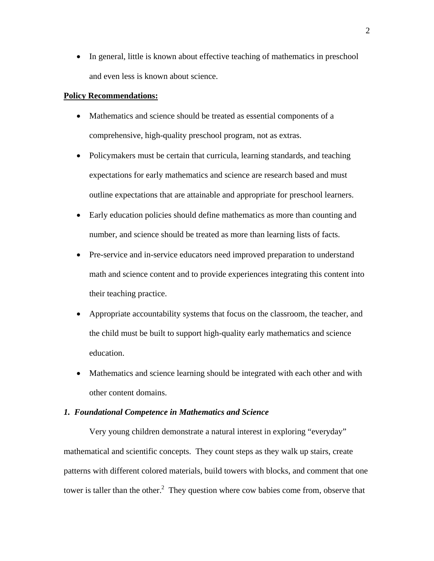• In general, little is known about effective teaching of mathematics in preschool and even less is known about science.

### **Policy Recommendations:**

- Mathematics and science should be treated as essential components of a comprehensive, high-quality preschool program, not as extras.
- Policymakers must be certain that curricula, learning standards, and teaching expectations for early mathematics and science are research based and must outline expectations that are attainable and appropriate for preschool learners.
- Early education policies should define mathematics as more than counting and number, and science should be treated as more than learning lists of facts.
- Pre-service and in-service educators need improved preparation to understand math and science content and to provide experiences integrating this content into their teaching practice.
- Appropriate accountability systems that focus on the classroom, the teacher, and the child must be built to support high-quality early mathematics and science education.
- Mathematics and science learning should be integrated with each other and with other content domains.

#### *1. Foundational Competence in Mathematics and Science*

Very young children demonstrate a natural interest in exploring "everyday" mathematical and scientific concepts. They count steps as they walk up stairs, create patterns with different colored materials, build towers with blocks, and comment that one tower is taller than the other.<sup>2</sup> They question where cow babies come from, observe that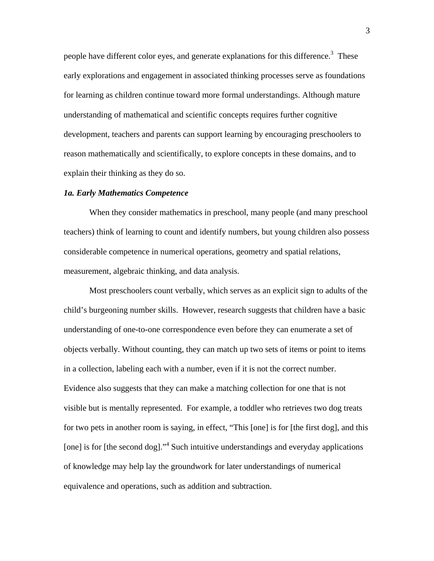people have different color eyes, and generate explanations for this difference.<sup>3</sup> These early explorations and engagement in associated thinking processes serve as foundations for learning as children continue toward more formal understandings. Although mature understanding of mathematical and scientific concepts requires further cognitive development, teachers and parents can support learning by encouraging preschoolers to reason mathematically and scientifically, to explore concepts in these domains, and to explain their thinking as they do so.

#### *1a. Early Mathematics Competence*

When they consider mathematics in preschool, many people (and many preschool teachers) think of learning to count and identify numbers, but young children also possess considerable competence in numerical operations, geometry and spatial relations, measurement, algebraic thinking, and data analysis.

Most preschoolers count verbally, which serves as an explicit sign to adults of the child's burgeoning number skills. However, research suggests that children have a basic understanding of one-to-one correspondence even before they can enumerate a set of objects verbally. Without counting, they can match up two sets of items or point to items in a collection, labeling each with a number, even if it is not the correct number. Evidence also suggests that they can make a matching collection for one that is not visible but is mentally represented. For example, a toddler who retrieves two dog treats for two pets in another room is saying, in effect, "This [one] is for [the first dog], and this [one] is for [the second dog]."<sup>4</sup> Such intuitive understandings and everyday applications of knowledge may help lay the groundwork for later understandings of numerical equivalence and operations, such as addition and subtraction.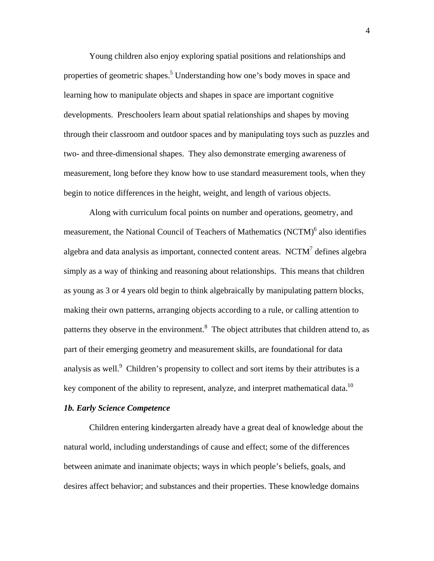Young children also enjoy exploring spatial positions and relationships and properties of geometric shapes.<sup>5</sup> Understanding how one's body moves in space and learning how to manipulate objects and shapes in space are important cognitive developments. Preschoolers learn about spatial relationships and shapes by moving through their classroom and outdoor spaces and by manipulating toys such as puzzles and two- and three-dimensional shapes. They also demonstrate emerging awareness of measurement, long before they know how to use standard measurement tools, when they begin to notice differences in the height, weight, and length of various objects.

Along with curriculum focal points on number and operations, geometry, and measurement, the National Council of Teachers of Mathematics (NCTM)<sup>6</sup> also identifies algebra and data analysis as important, connected content areas. NCTM $^7$  defines algebra simply as a way of thinking and reasoning about relationships. This means that children as young as 3 or 4 years old begin to think algebraically by manipulating pattern blocks, making their own patterns, arranging objects according to a rule, or calling attention to patterns they observe in the environment.<sup>8</sup> The object attributes that children attend to, as part of their emerging geometry and measurement skills, are foundational for data analysis as well. $9$  Children's propensity to collect and sort items by their attributes is a key component of the ability to represent, analyze, and interpret mathematical data.<sup>10</sup>

# *1b. Early Science Competence*

Children entering kindergarten already have a great deal of knowledge about the natural world, including understandings of cause and effect; some of the differences between animate and inanimate objects; ways in which people's beliefs, goals, and desires affect behavior; and substances and their properties. These knowledge domains

4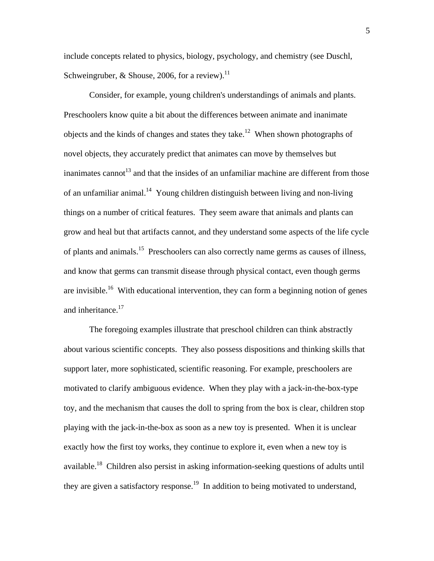include concepts related to physics, biology, psychology, and chemistry (see Duschl, Schweingruber, & Shouse, 2006, for a review).<sup>11</sup>

Consider, for example, young children's understandings of animals and plants. Preschoolers know quite a bit about the differences between animate and inanimate objects and the kinds of changes and states they take.<sup>12</sup> When shown photographs of novel objects, they accurately predict that animates can move by themselves but inanimates cannot<sup>13</sup> and that the insides of an unfamiliar machine are different from those of an unfamiliar animal.<sup>14</sup> Young children distinguish between living and non-living things on a number of critical features. They seem aware that animals and plants can grow and heal but that artifacts cannot, and they understand some aspects of the life cycle of plants and animals.15 Preschoolers can also correctly name germs as causes of illness, and know that germs can transmit disease through physical contact, even though germs are invisible.<sup>16</sup> With educational intervention, they can form a beginning notion of genes and inheritance.<sup>17</sup>

The foregoing examples illustrate that preschool children can think abstractly about various scientific concepts. They also possess dispositions and thinking skills that support later, more sophisticated, scientific reasoning. For example, preschoolers are motivated to clarify ambiguous evidence. When they play with a jack-in-the-box-type toy, and the mechanism that causes the doll to spring from the box is clear, children stop playing with the jack-in-the-box as soon as a new toy is presented. When it is unclear exactly how the first toy works, they continue to explore it, even when a new toy is available.18 Children also persist in asking information-seeking questions of adults until they are given a satisfactory response.<sup>19</sup> In addition to being motivated to understand,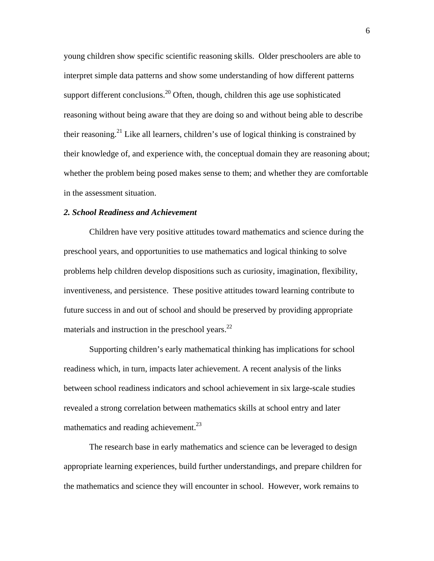young children show specific scientific reasoning skills. Older preschoolers are able to interpret simple data patterns and show some understanding of how different patterns support different conclusions.<sup>20</sup> Often, though, children this age use sophisticated reasoning without being aware that they are doing so and without being able to describe their reasoning.<sup>21</sup> Like all learners, children's use of logical thinking is constrained by their knowledge of, and experience with, the conceptual domain they are reasoning about; whether the problem being posed makes sense to them; and whether they are comfortable in the assessment situation.

## *2. School Readiness and Achievement*

Children have very positive attitudes toward mathematics and science during the preschool years, and opportunities to use mathematics and logical thinking to solve problems help children develop dispositions such as curiosity, imagination, flexibility, inventiveness, and persistence. These positive attitudes toward learning contribute to future success in and out of school and should be preserved by providing appropriate materials and instruction in the preschool years. $^{22}$ 

Supporting children's early mathematical thinking has implications for school readiness which, in turn, impacts later achievement. A recent analysis of the links between school readiness indicators and school achievement in six large-scale studies revealed a strong correlation between mathematics skills at school entry and later mathematics and reading achievement.<sup>23</sup>

The research base in early mathematics and science can be leveraged to design appropriate learning experiences, build further understandings, and prepare children for the mathematics and science they will encounter in school. However, work remains to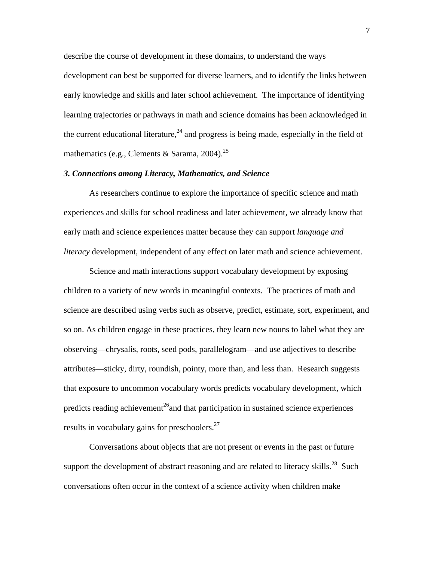describe the course of development in these domains, to understand the ways

development can best be supported for diverse learners, and to identify the links between early knowledge and skills and later school achievement. The importance of identifying learning trajectories or pathways in math and science domains has been acknowledged in the current educational literature,<sup>24</sup> and progress is being made, especially in the field of mathematics (e.g., Clements & Sarama,  $2004$ )<sup>25</sup>

# *3. Connections among Literacy, Mathematics, and Science*

As researchers continue to explore the importance of specific science and math experiences and skills for school readiness and later achievement, we already know that early math and science experiences matter because they can support *language and literacy* development, independent of any effect on later math and science achievement.

Science and math interactions support vocabulary development by exposing children to a variety of new words in meaningful contexts. The practices of math and science are described using verbs such as observe, predict, estimate, sort, experiment, and so on. As children engage in these practices, they learn new nouns to label what they are observing—chrysalis, roots, seed pods, parallelogram—and use adjectives to describe attributes—sticky, dirty, roundish, pointy, more than, and less than. Research suggests that exposure to uncommon vocabulary words predicts vocabulary development, which predicts reading achievement<sup>26</sup> and that participation in sustained science experiences results in vocabulary gains for preschoolers.<sup>27</sup>

Conversations about objects that are not present or events in the past or future support the development of abstract reasoning and are related to literacy skills.<sup>28</sup> Such conversations often occur in the context of a science activity when children make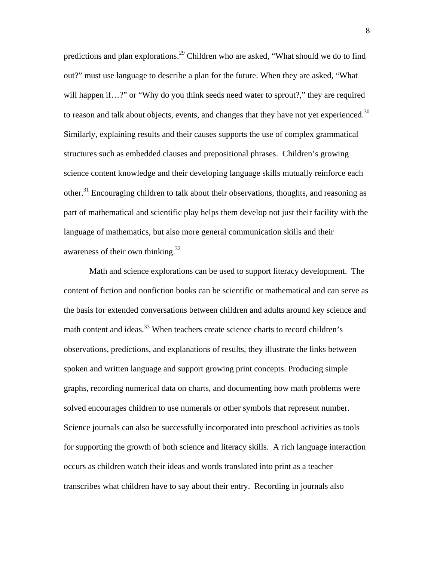predictions and plan explorations.<sup>29</sup> Children who are asked, "What should we do to find out?" must use language to describe a plan for the future. When they are asked, "What will happen if…?" or "Why do you think seeds need water to sprout?," they are required to reason and talk about objects, events, and changes that they have not yet experienced.<sup>30</sup> Similarly, explaining results and their causes supports the use of complex grammatical structures such as embedded clauses and prepositional phrases. Children's growing science content knowledge and their developing language skills mutually reinforce each other.<sup>31</sup> Encouraging children to talk about their observations, thoughts, and reasoning as part of mathematical and scientific play helps them develop not just their facility with the language of mathematics, but also more general communication skills and their awareness of their own thinking.32

Math and science explorations can be used to support literacy development. The content of fiction and nonfiction books can be scientific or mathematical and can serve as the basis for extended conversations between children and adults around key science and math content and ideas.<sup>33</sup> When teachers create science charts to record children's observations, predictions, and explanations of results, they illustrate the links between spoken and written language and support growing print concepts. Producing simple graphs, recording numerical data on charts, and documenting how math problems were solved encourages children to use numerals or other symbols that represent number. Science journals can also be successfully incorporated into preschool activities as tools for supporting the growth of both science and literacy skills. A rich language interaction occurs as children watch their ideas and words translated into print as a teacher transcribes what children have to say about their entry. Recording in journals also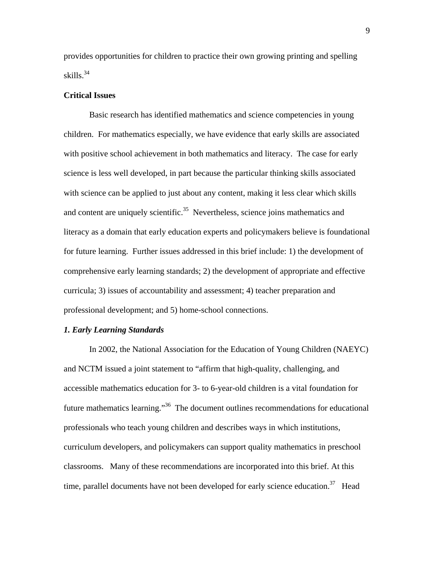provides opportunities for children to practice their own growing printing and spelling skills. $34$ 

#### **Critical Issues**

Basic research has identified mathematics and science competencies in young children. For mathematics especially, we have evidence that early skills are associated with positive school achievement in both mathematics and literacy. The case for early science is less well developed, in part because the particular thinking skills associated with science can be applied to just about any content, making it less clear which skills and content are uniquely scientific.<sup>35</sup> Nevertheless, science joins mathematics and literacy as a domain that early education experts and policymakers believe is foundational for future learning. Further issues addressed in this brief include: 1) the development of comprehensive early learning standards; 2) the development of appropriate and effective curricula; 3) issues of accountability and assessment; 4) teacher preparation and professional development; and 5) home-school connections.

# *1. Early Learning Standards*

In 2002, the National Association for the Education of Young Children (NAEYC) and NCTM issued a joint statement to "affirm that high-quality, challenging, and accessible mathematics education for 3- to 6-year-old children is a vital foundation for future mathematics learning."36 The document outlines recommendations for educational professionals who teach young children and describes ways in which institutions, curriculum developers, and policymakers can support quality mathematics in preschool classrooms. Many of these recommendations are incorporated into this brief. At this time, parallel documents have not been developed for early science education.<sup>37</sup> Head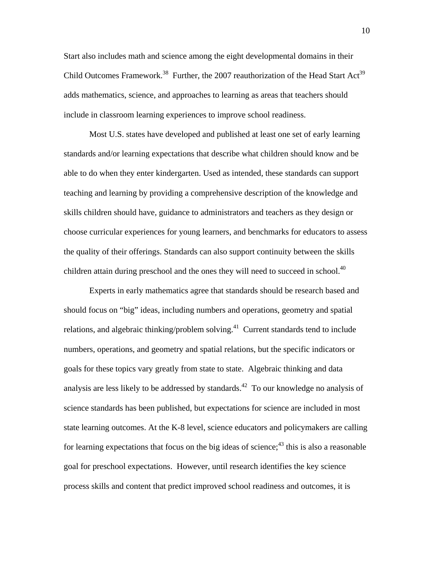Start also includes math and science among the eight developmental domains in their Child Outcomes Framework.<sup>38</sup> Further, the 2007 reauthorization of the Head Start Act<sup>39</sup> adds mathematics, science, and approaches to learning as areas that teachers should include in classroom learning experiences to improve school readiness.

Most U.S. states have developed and published at least one set of early learning standards and/or learning expectations that describe what children should know and be able to do when they enter kindergarten. Used as intended, these standards can support teaching and learning by providing a comprehensive description of the knowledge and skills children should have, guidance to administrators and teachers as they design or choose curricular experiences for young learners, and benchmarks for educators to assess the quality of their offerings. Standards can also support continuity between the skills children attain during preschool and the ones they will need to succeed in school.<sup>40</sup>

Experts in early mathematics agree that standards should be research based and should focus on "big" ideas, including numbers and operations, geometry and spatial relations, and algebraic thinking/problem solving.<sup>41</sup> Current standards tend to include numbers, operations, and geometry and spatial relations, but the specific indicators or goals for these topics vary greatly from state to state. Algebraic thinking and data analysis are less likely to be addressed by standards.<sup>42</sup> To our knowledge no analysis of science standards has been published, but expectations for science are included in most state learning outcomes. At the K-8 level, science educators and policymakers are calling for learning expectations that focus on the big ideas of science;  $43$  this is also a reasonable goal for preschool expectations. However, until research identifies the key science process skills and content that predict improved school readiness and outcomes, it is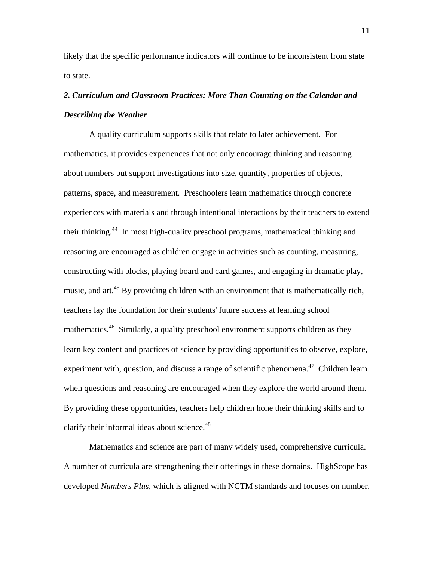likely that the specific performance indicators will continue to be inconsistent from state to state.

# *2. Curriculum and Classroom Practices: More Than Counting on the Calendar and Describing the Weather*

A quality curriculum supports skills that relate to later achievement. For mathematics, it provides experiences that not only encourage thinking and reasoning about numbers but support investigations into size, quantity, properties of objects, patterns, space, and measurement. Preschoolers learn mathematics through concrete experiences with materials and through intentional interactions by their teachers to extend their thinking.44 In most high-quality preschool programs, mathematical thinking and reasoning are encouraged as children engage in activities such as counting, measuring, constructing with blocks, playing board and card games, and engaging in dramatic play, music, and art.<sup>45</sup> By providing children with an environment that is mathematically rich, teachers lay the foundation for their students' future success at learning school mathematics.<sup>46</sup> Similarly, a quality preschool environment supports children as they learn key content and practices of science by providing opportunities to observe, explore, experiment with, question, and discuss a range of scientific phenomena.<sup>47</sup> Children learn when questions and reasoning are encouraged when they explore the world around them. By providing these opportunities, teachers help children hone their thinking skills and to clarify their informal ideas about science.<sup>48</sup>

Mathematics and science are part of many widely used, comprehensive curricula. A number of curricula are strengthening their offerings in these domains. HighScope has developed *Numbers Plus,* which is aligned with NCTM standards and focuses on number,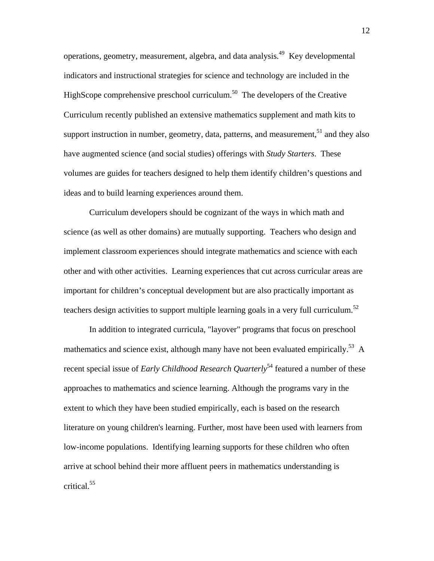operations, geometry, measurement, algebra, and data analysis.49 Key developmental indicators and instructional strategies for science and technology are included in the HighScope comprehensive preschool curriculum.<sup>50</sup> The developers of the Creative Curriculum recently published an extensive mathematics supplement and math kits to support instruction in number, geometry, data, patterns, and measurement,  $51$  and they also have augmented science (and social studies) offerings with *Study Starters*. These volumes are guides for teachers designed to help them identify children's questions and ideas and to build learning experiences around them.

Curriculum developers should be cognizant of the ways in which math and science (as well as other domains) are mutually supporting. Teachers who design and implement classroom experiences should integrate mathematics and science with each other and with other activities. Learning experiences that cut across curricular areas are important for children's conceptual development but are also practically important as teachers design activities to support multiple learning goals in a very full curriculum.<sup>52</sup>

In addition to integrated curricula, "layover" programs that focus on preschool mathematics and science exist, although many have not been evaluated empirically.<sup>53</sup> A recent special issue of *Early Childhood Research Quarterly*<sup>54</sup> featured a number of these approaches to mathematics and science learning. Although the programs vary in the extent to which they have been studied empirically, each is based on the research literature on young children's learning. Further, most have been used with learners from low-income populations. Identifying learning supports for these children who often arrive at school behind their more affluent peers in mathematics understanding is critical.55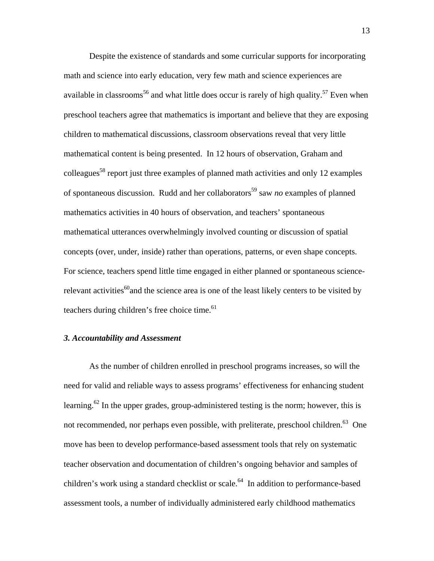Despite the existence of standards and some curricular supports for incorporating math and science into early education, very few math and science experiences are available in classrooms<sup>56</sup> and what little does occur is rarely of high quality.<sup>57</sup> Even when preschool teachers agree that mathematics is important and believe that they are exposing children to mathematical discussions, classroom observations reveal that very little mathematical content is being presented. In 12 hours of observation, Graham and colleagues<sup>58</sup> report just three examples of planned math activities and only 12 examples of spontaneous discussion. Rudd and her collaborators<sup>59</sup> saw *no* examples of planned mathematics activities in 40 hours of observation, and teachers' spontaneous mathematical utterances overwhelmingly involved counting or discussion of spatial concepts (over, under, inside) rather than operations, patterns, or even shape concepts. For science, teachers spend little time engaged in either planned or spontaneous sciencerelevant activities<sup>60</sup> and the science area is one of the least likely centers to be visited by teachers during children's free choice time.<sup>61</sup>

# *3. Accountability and Assessment*

As the number of children enrolled in preschool programs increases, so will the need for valid and reliable ways to assess programs' effectiveness for enhancing student learning.<sup>62</sup> In the upper grades, group-administered testing is the norm; however, this is not recommended, nor perhaps even possible, with preliterate, preschool children.<sup>63</sup> One move has been to develop performance-based assessment tools that rely on systematic teacher observation and documentation of children's ongoing behavior and samples of children's work using a standard checklist or scale.<sup>64</sup> In addition to performance-based assessment tools, a number of individually administered early childhood mathematics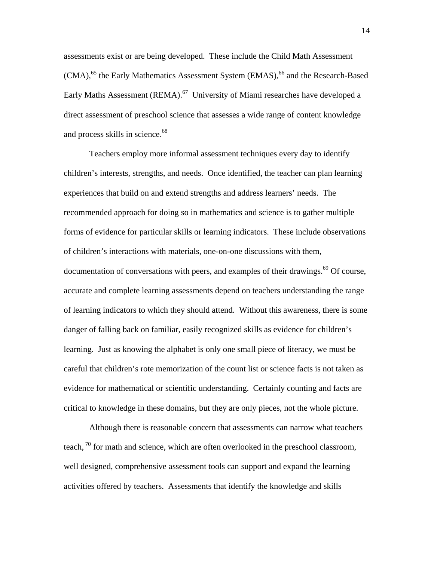assessments exist or are being developed. These include the Child Math Assessment  $(CMA)$ ,<sup>65</sup> the Early Mathematics Assessment System  $(EMAS)$ ,<sup>66</sup> and the Research-Based Early Maths Assessment (REMA).<sup>67</sup> University of Miami researches have developed a direct assessment of preschool science that assesses a wide range of content knowledge and process skills in science.<sup>68</sup>

Teachers employ more informal assessment techniques every day to identify children's interests, strengths, and needs. Once identified, the teacher can plan learning experiences that build on and extend strengths and address learners' needs. The recommended approach for doing so in mathematics and science is to gather multiple forms of evidence for particular skills or learning indicators. These include observations of children's interactions with materials, one-on-one discussions with them, documentation of conversations with peers, and examples of their drawings.<sup>69</sup> Of course, accurate and complete learning assessments depend on teachers understanding the range of learning indicators to which they should attend. Without this awareness, there is some danger of falling back on familiar, easily recognized skills as evidence for children's learning. Just as knowing the alphabet is only one small piece of literacy, we must be careful that children's rote memorization of the count list or science facts is not taken as evidence for mathematical or scientific understanding. Certainly counting and facts are critical to knowledge in these domains, but they are only pieces, not the whole picture.

Although there is reasonable concern that assessments can narrow what teachers teach, <sup>70</sup> for math and science, which are often overlooked in the preschool classroom, well designed, comprehensive assessment tools can support and expand the learning activities offered by teachers. Assessments that identify the knowledge and skills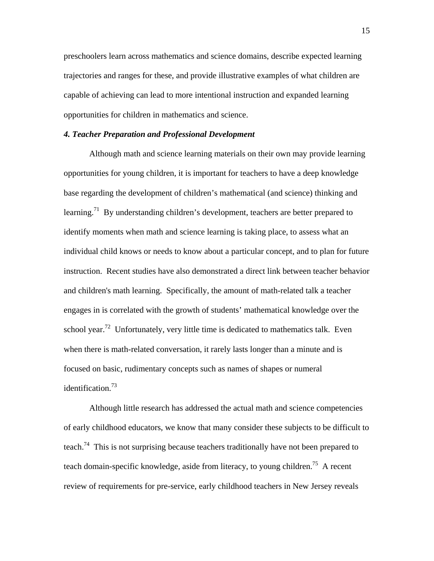preschoolers learn across mathematics and science domains, describe expected learning trajectories and ranges for these, and provide illustrative examples of what children are capable of achieving can lead to more intentional instruction and expanded learning opportunities for children in mathematics and science.

# *4. Teacher Preparation and Professional Development*

Although math and science learning materials on their own may provide learning opportunities for young children, it is important for teachers to have a deep knowledge base regarding the development of children's mathematical (and science) thinking and learning.<sup>71</sup> By understanding children's development, teachers are better prepared to identify moments when math and science learning is taking place, to assess what an individual child knows or needs to know about a particular concept, and to plan for future instruction. Recent studies have also demonstrated a direct link between teacher behavior and children's math learning. Specifically, the amount of math-related talk a teacher engages in is correlated with the growth of students' mathematical knowledge over the school year.<sup>72</sup> Unfortunately, very little time is dedicated to mathematics talk. Even when there is math-related conversation, it rarely lasts longer than a minute and is focused on basic, rudimentary concepts such as names of shapes or numeral identification.<sup>73</sup>

Although little research has addressed the actual math and science competencies of early childhood educators, we know that many consider these subjects to be difficult to teach.<sup>74</sup> This is not surprising because teachers traditionally have not been prepared to teach domain-specific knowledge, aside from literacy, to young children.<sup>75</sup> A recent review of requirements for pre-service, early childhood teachers in New Jersey reveals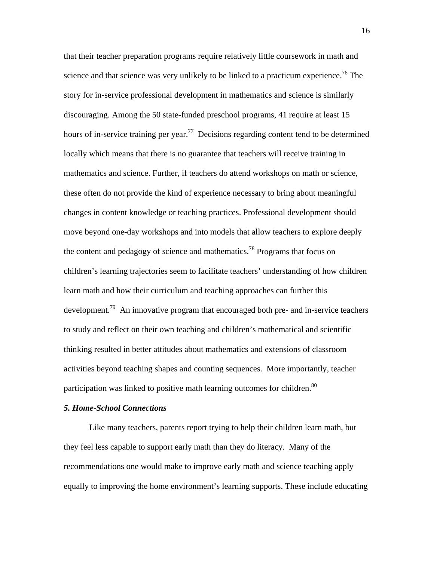that their teacher preparation programs require relatively little coursework in math and science and that science was very unlikely to be linked to a practicum experience.<sup>76</sup> The story for in-service professional development in mathematics and science is similarly discouraging. Among the 50 state-funded preschool programs, 41 require at least 15 hours of in-service training per year.<sup>77</sup> Decisions regarding content tend to be determined locally which means that there is no guarantee that teachers will receive training in mathematics and science. Further, if teachers do attend workshops on math or science, these often do not provide the kind of experience necessary to bring about meaningful changes in content knowledge or teaching practices. Professional development should move beyond one-day workshops and into models that allow teachers to explore deeply the content and pedagogy of science and mathematics.<sup>78</sup> Programs that focus on children's learning trajectories seem to facilitate teachers' understanding of how children learn math and how their curriculum and teaching approaches can further this development.<sup>79</sup> An innovative program that encouraged both pre- and in-service teachers to study and reflect on their own teaching and children's mathematical and scientific thinking resulted in better attitudes about mathematics and extensions of classroom activities beyond teaching shapes and counting sequences. More importantly, teacher participation was linked to positive math learning outcomes for children.<sup>80</sup>

# *5. Home-School Connections*

Like many teachers, parents report trying to help their children learn math, but they feel less capable to support early math than they do literacy. Many of the recommendations one would make to improve early math and science teaching apply equally to improving the home environment's learning supports. These include educating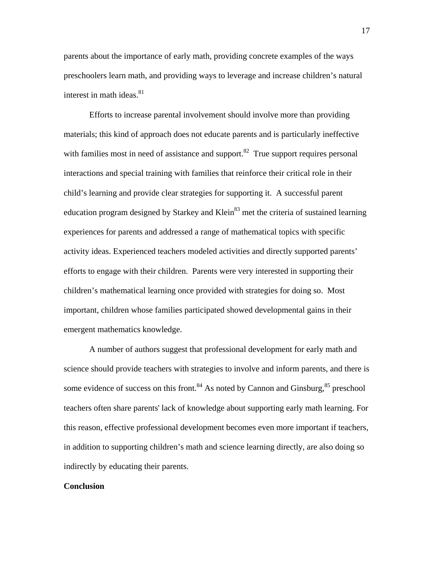parents about the importance of early math, providing concrete examples of the ways preschoolers learn math, and providing ways to leverage and increase children's natural interest in math ideas. $81$ 

Efforts to increase parental involvement should involve more than providing materials; this kind of approach does not educate parents and is particularly ineffective with families most in need of assistance and support. $82$  True support requires personal interactions and special training with families that reinforce their critical role in their child's learning and provide clear strategies for supporting it. A successful parent education program designed by Starkey and Klein<sup>83</sup> met the criteria of sustained learning experiences for parents and addressed a range of mathematical topics with specific activity ideas. Experienced teachers modeled activities and directly supported parents' efforts to engage with their children. Parents were very interested in supporting their children's mathematical learning once provided with strategies for doing so. Most important, children whose families participated showed developmental gains in their emergent mathematics knowledge.

A number of authors suggest that professional development for early math and science should provide teachers with strategies to involve and inform parents, and there is some evidence of success on this front.<sup>84</sup> As noted by Cannon and Ginsburg,  $85$  preschool teachers often share parents' lack of knowledge about supporting early math learning. For this reason, effective professional development becomes even more important if teachers, in addition to supporting children's math and science learning directly, are also doing so indirectly by educating their parents.

# **Conclusion**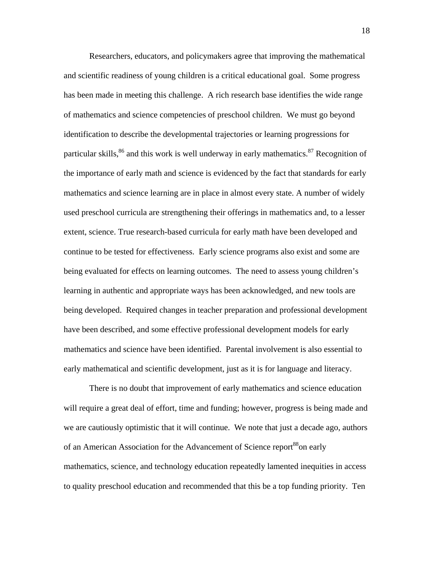Researchers, educators, and policymakers agree that improving the mathematical and scientific readiness of young children is a critical educational goal. Some progress has been made in meeting this challenge. A rich research base identifies the wide range of mathematics and science competencies of preschool children. We must go beyond identification to describe the developmental trajectories or learning progressions for particular skills,  $^{86}$  and this work is well underway in early mathematics.  $^{87}$  Recognition of the importance of early math and science is evidenced by the fact that standards for early mathematics and science learning are in place in almost every state. A number of widely used preschool curricula are strengthening their offerings in mathematics and, to a lesser extent, science. True research-based curricula for early math have been developed and continue to be tested for effectiveness. Early science programs also exist and some are being evaluated for effects on learning outcomes. The need to assess young children's learning in authentic and appropriate ways has been acknowledged, and new tools are being developed. Required changes in teacher preparation and professional development have been described, and some effective professional development models for early mathematics and science have been identified. Parental involvement is also essential to early mathematical and scientific development, just as it is for language and literacy.

There is no doubt that improvement of early mathematics and science education will require a great deal of effort, time and funding; however, progress is being made and we are cautiously optimistic that it will continue. We note that just a decade ago, authors of an American Association for the Advancement of Science report<sup>88</sup>on early mathematics, science, and technology education repeatedly lamented inequities in access to quality preschool education and recommended that this be a top funding priority. Ten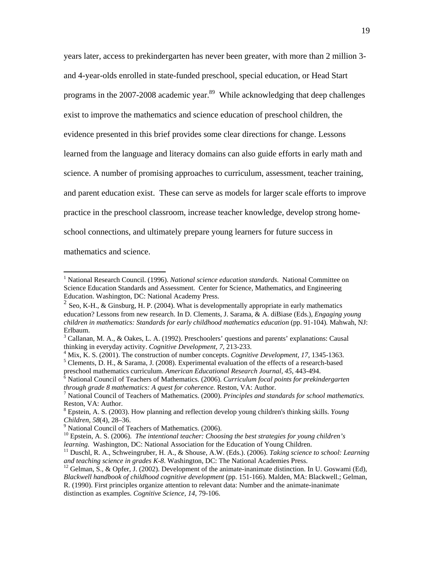years later, access to prekindergarten has never been greater, with more than 2 million 3 and 4-year-olds enrolled in state-funded preschool, special education, or Head Start programs in the 2007-2008 academic year.<sup>89</sup> While acknowledging that deep challenges exist to improve the mathematics and science education of preschool children, the evidence presented in this brief provides some clear directions for change. Lessons learned from the language and literacy domains can also guide efforts in early math and science. A number of promising approaches to curriculum, assessment, teacher training, and parent education exist. These can serve as models for larger scale efforts to improve practice in the preschool classroom, increase teacher knowledge, develop strong homeschool connections, and ultimately prepare young learners for future success in

mathematics and science.

 $\overline{a}$ 

<sup>4</sup> Mix, K. S. (2001). The construction of number concepts. *Cognitive Development, 17*, 1345-1363. <sup>5</sup> Clements, D. H., & Sarama, J. (2008). Experimental evaluation of the effects of a research-based

distinction as examples. *Cognitive Science, 14*, 79-106.

<sup>&</sup>lt;sup>1</sup> National Research Council. (1996). *National science education standards*. National Committee on Science Education Standards and Assessment. Center for Science, Mathematics, and Engineering Education. Washington, DC: National Academy Press.

<sup>&</sup>lt;sup>2</sup> Seo, K-H., & Ginsburg, H. P. (2004). What is developmentally appropriate in early mathematics education? Lessons from new research. In D. Clements, J. Sarama, & A. diBiase (Eds.), *Engaging young children in mathematics: Standards for early childhood mathematics education* (pp. 91-104)*.* Mahwah, NJ: Erlbaum.

 $3$  Callanan, M. A., & Oakes, L. A. (1992). Preschoolers' questions and parents' explanations: Causal thinking in everyday activity. *Cognitive Development, 7,* 213-233. 4

preschool mathematics curriculum. *American Educational Research Journal*, 45, 443-494.<br><sup>6</sup> National Council of Teachers of Mathematics. (2006). *Curriculum focal points for prekindergarten through grade 8 mathematics: A quest for coherence.* Reston, VA: Author. 7

National Council of Teachers of Mathematics. (2000). *Principles and standards for school mathematics.* Reston, VA: Author.

<sup>8</sup> Epstein, A. S. (2003). How planning and reflection develop young children's thinking skills. *Young Children*, *58*(4), 28–36. 9

<sup>&</sup>lt;sup>9</sup> National Council of Teachers of Mathematics. (2006).

<sup>&</sup>lt;sup>10</sup> Epstein, A. S. (2006). *The intentional teacher: Choosing the best strategies for young children's learning.* Washington, DC: National Association for the Education of Young Children.

<sup>&</sup>lt;sup>11</sup> Duschl, R. A., Schweingruber, H. A., & Shouse, A.W. (Eds.). (2006). *Taking science to school: Learning and teaching science in grades K-8*. Washington, DC: The National Academies Press.

<sup>&</sup>lt;sup>12</sup> Gelman, S., & Opfer, J. (2002). Development of the animate-inanimate distinction. In U. Goswami (Ed), *Blackwell handbook of childhood cognitive development* (pp. 151-166). Malden, MA: Blackwell.; Gelman,

R. (1990). First principles organize attention to relevant data: Number and the animate-inanimate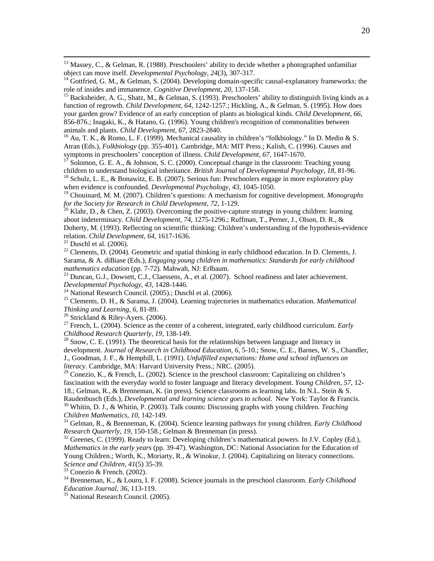<sup>13</sup> Massey, C., & Gelman, R. (1988). Preschoolers' ability to decide whether a photographed unfamiliar object can move itself. *Developmental Psychology*, 24(3), 307-317.<br><sup>14</sup> Gottfried, G. M., & Gelman, S. (2004). Developing domain-specific causal-explanatory frameworks: the

function of regrowth. *Child Development*, *64*, 1242-1257.; Hickling, A., & Gelman, S. (1995). How does your garden grow? Evidence of an early conception of plants as biological kinds. *Child Development, 66*, 856-876.; Inagaki, K., & Hatano, G. (1996). Young children's recognition of commonalities between animals and plants. *Child Development, 67*, 2823-2840.<br><sup>16</sup> Au, T. K., & Romo, L. F. (1999). Mechanical causality in children's "folkbiology." In D. Medin & S.

Atran (Eds.), *Folkbiology* (pp. 355-401)*.* Cambridge, MA: MIT Press.; Kalish, C. (1996). Causes and

symptoms in preschoolers' conception of illness. *Child Development, 67*, 1647-1670.<br><sup>17</sup> Solomon, G. E. A., & Johnson, S. C. (2000). Conceptual change in the classroom: Teaching young children to understand biological inh

<sup>18</sup> Schulz, L. E., & Bonawitz, E. B. (2007). Serious fun: Preschoolers engage in more exploratory play when evidence is confounded. *Developmental Psychology, 43*, 1045-1050.

<sup>19</sup> Chouinard, M. M. (2007). Children's questions: A mechanism for cognitive development. *Monographs* for the Society for Research in Child Development, 72, 1-129.

<sup>20</sup> Klahr, D., & Chen, Z. (2003). Overcoming the positive-capture strategy in young children: learning about indeterminacy. *Child Development, 74*, 1275-1296.; Ruffman, T., Perner, J., Olson, D. R., & Doherty, M. (1993). Reflecting on scientific thinking: Children's understanding of the hypothesis-evidence relation. *Child Development, 64, 1617-1636.* <sup>21</sup> Duschl et al. (2006).

<sup>22</sup> Clements, D. (2004). Geometric and spatial thinking in early childhood education. In D. Clements, J. Sarama, & A. diBiase (Eds.), *Engaging young children in mathematics: Standards for early childhood* 

<sup>23</sup> Duncan, G.J., Dowsett, C.J., Claessens, A., et al. (2007). School readiness and later achievement. *Developmental Psychology*, *43*, 1428-1446. 24 National Research Council. (2005).; Duschl et al. (2006).

25 Clements, D. H., & Sarama, J. (2004). Learning trajectories in mathematics education. *Mathematical Thinking and Learning, 6, 81-89.* <sup>26</sup> Strickland & Riley-Ayers. (2006).

<sup>27</sup> French, L. (2004). Science as the center of a coherent, integrated, early childhood curriculum. *Early Childhood Research Quarterly, 19*, 138-149.

<sup>28</sup> Snow, C. E. (1991). The theoretical basis for the relationships between language and literacy in development. *Journal of Research in Childhood Education, 6*, 5-10.; Snow, C. E., Barnes, W. S., Chandler, J., Goodman, J. F., & Hemphill, L. (1991). *Unfulfilled expectations: Home and school influences on literacy*. Cambridge, MA: Harvard University Press.; NRC. (2005).

<sup>29</sup> Conezio, K., & French, L. (2002). Science in the preschool classroom: Capitalizing on children's fascination with the everyday world to foster language and literacy development. *Young Children, 57*, 12- 18.; Gelman, R., & Brenneman, K. (in press). Science classrooms as learning labs. In N.L. Stein & S.

Raudenbusch (Eds.), *Developmental and learning science goes to school*. New York: Taylor & Francis. 30 Whitin, D. J., & Whitin, P. (2003). Talk counts: Discussing graphs with young children. *Teaching Children Mathematics, 10*, 142-149. 31 Gelman, R., & Brenneman, K. (2004). Science learning pathways for young children. *Early Childhood* 

*Research Quarterly, 19, 150-158.*; Gelman & Brenneman (in press).<br><sup>32</sup> Greenes, C. (1999). Ready to learn: Developing children's mathematical powers. In J.V. Copley (Ed.),

*Mathematics in the early years* (pp. 39-47). Washington, DC: National Association for the Education of Young Children.; Worth, K., Moriarty, R., & Winokur, J. (2004). Capitalizing on literacy connections. *Science and Children*, *41*(5) 35-39. 33 Conezio & French. (2002).

34 Brenneman, K., & Louro, I. F. (2008). Science journals in the preschool classroom. *Early Childhood Education Journal, 36*, 113-119. 35 National Research Council. (2005).

role of insides and immanence. *Cognitive Development*, 20, 137-158.<br><sup>15</sup> Backsheider, A. G., Shatz, M., & Gelman, S. (1993). Preschoolers' ability to distinguish living kinds as a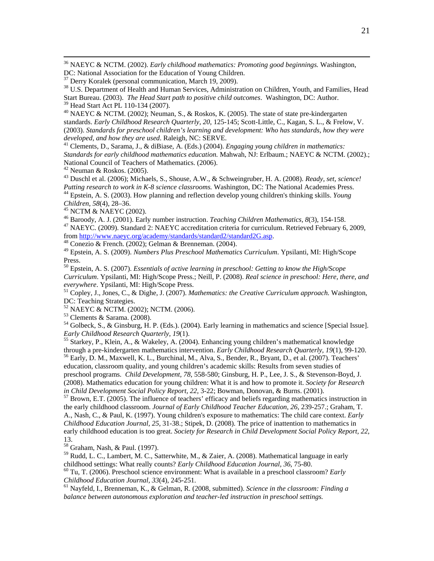36 NAEYC & NCTM. (2002). *Early childhood mathematics: Promoting good beginnings.* Washington, DC: National Association for the Education of Young Children.

<sup>38</sup> U.S. Department of Health and Human Services, Administration on Children, Youth, and Families, Head Start Bureau. (2003). *The Head Start path to positive child outcomes*. Washington, DC: Author.

39 Head Start Act PL 110-134 (2007).

 $^{40}$  NAEYC & NCTM. (2002); Neuman, S., & Roskos, K. (2005). The state of state pre-kindergarten standards. *Early Childhood Research Quarterly, 20*, 125-145; Scott-Little, C., Kagan, S. L., & Frelow, V. (2003). *Standards for preschool children's learning and development: Who has standards, how they were* 

*developed, and how they are used*. Raleigh, NC: SERVE. 41 Clements, D., Sarama, J., & diBiase, A. (Eds.) (2004). *Engaging young children in mathematics: Standards for early childhood mathematics education.* Mahwah, NJ: Erlbaum.; NAEYC & NCTM. (2002).; National Council of Teachers of Mathematics. (2006).

 $42$  Neuman & Roskos. (2005).

43 Duschl et al. (2006); Michaels, S., Shouse, A.W., & Schweingruber, H. A. (2008). *Ready, set, science! Putting research to work in K-8 science classrooms.* Washington, DC: The National Academies Press. 44 Epstein, A. S. (2003). How planning and reflection develop young children's thinking skills. *Young* 

*Children, 58*(4), 28–36.<br><sup>45</sup> NCTM & NAEYC (2002).<br><sup>46</sup> Baroody, A. J. (2001). Early number instruction. *Teaching Children Mathematics*, 8(3), 154-158. <sup>47</sup> NAEYC. (2009). Standard 2: NAEYC accreditation criteria for curriculum. Retrieved February 6, 2009,

from http://www.naeyc.org/academy/standards/standard2/standard2G.asp. 48 Conezio & French. (2002); Gelman & Brenneman. (2004).

49 Epstein, A. S. (2009). *Numbers Plus Preschool Mathematics Curriculum*. Ypsilanti, MI: High/Scope Press.

50 Epstein, A. S. (2007). *Essentials of active learning in preschool: Getting to know the High/Scope Curriculum*. Ypsilanti, MI: High/Scope Press.; Neill, P. (2008). *Real science in preschool: Here, there, and everywhere.* Ypsilanti, MI: High/Scope Press.<br><sup>51</sup> Copley, J., Jones, C., & Dighe, J. (2007). *Mathematics: the Creative Curriculum approach.* Washington,

DC: Teaching Strategies.

52 NAEYC & NCTM. (2002); NCTM. (2006).

53 Clements & Sarama. (2008).

<sup>54</sup> Golbeck, S., & Ginsburg, H. P. (Eds.). (2004). Early learning in mathematics and science [Special Issue]. *Early Childhood Research Quarterly, 19*(1).

<sup>55</sup> Starkey, P., Klein, A., & Wakeley, A. (2004). Enhancing young children's mathematical knowledge through a pre-kindergarten mathematics intervention. *Early Childhood Research Quarterly, 19*(1), 99-120. <sup>56</sup> Early, D. M., Maxwell, K. L., Burchinal, M., Alva, S., Bender, R., Bryant, D., et al. (2007). Teachers' education, classroom quality, and young children's academic skills: Results from seven studies of preschool programs. *Child Development, 78*, 558-580; Ginsburg, H. P., Lee, J. S., & Stevenson-Boyd, J. (2008). Mathematics education for young children: What it is and how to promote it. *Society for Research* 

*in Child Development Social Policy Report, 22, 3-22; Bowman, Donovan, & Burns. (2001).*<br><sup>57</sup> Brown, E.T. (2005). The influence of teachers' efficacy and beliefs regarding mathematics instruction in the early childhood classroom. *Journal of Early Childhood Teacher Education, 26*, 239-257.; Graham, T. A., Nash, C., & Paul, K. (1997). Young children's exposure to mathematics: The child care context. *Early Childhood Education Journal, 25*, 31-38.; Stipek, D. (2008). The price of inattention to mathematics in early childhood education is too great. *Society for Research in Child Development Social Policy Report, 22*, 13.

58 Graham, Nash, & Paul. (1997).

<sup>59</sup> Rudd, L. C., Lambert, M. C., Satterwhite, M., & Zaier, A. (2008). Mathematical language in early childhood settings: What really counts? *Early Childhood Education Journal*, 36, 75-80.

<sup>60</sup> Tu, T. (2006). Preschool science environment: What is available in a preschool classroom? *Early Childhood Education Journal, 33*(4), 245-251.<br><sup>61</sup> Nayfeld, I., Brenneman, K., & Gelman, R. (2008, submitted). *Science in the classroom: Finding a* 

*balance between autonomous exploration and teacher-led instruction in preschool settings.*

<sup>&</sup>lt;sup>37</sup> Derry Koralek (personal communication, March 19, 2009).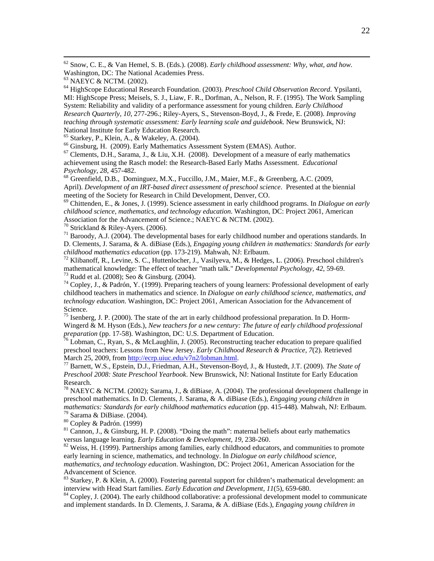62 Snow, C. E., & Van Hemel, S. B. (Eds.). (2008). *Early childhood assessment: Why, what, and how.* Washington, DC: The National Academies Press.

64 HighScope Educational Research Foundation. (2003). *Preschool Child Observation Record*. Ypsilanti, MI: HighScope Press; Meisels, S. J., Liaw, F. R., Dorfman, A., Nelson, R. F. (1995). The Work Sampling System: Reliability and validity of a performance assessment for young children. *Early Childhood Research Quarterly, 10*, 277-296.; Riley-Ayers, S., Stevenson-Boyd, J., & Frede, E. (2008). *Improving teaching through systematic assessment: Early learning scale and guidebook.* New Brunswick, NJ: National Institute for Early Education Research.

<sup>65</sup> Starkey, P., Klein, A., & Wakeley, A. (2004).<br><sup>66</sup> Ginsburg, H. (2009). Early Mathematics Assessment System (EMAS). Author.

 $<sup>67</sup>$  Clements, D.H., Sarama, J., & Liu, X.H. (2008). Development of a measure of early mathematics</sup> achievement using the Rasch model: the Research-Based Early Maths Assessment. *Educational Psychology, 28, 457-482.*<br><sup>68</sup> Greenfield, D.B., Dominguez, M.X., Fuccillo, J.M., Maier, M.F., & Greenberg, A.C. (2009,

April). *Development of an IRT-based direct assessment of preschool science*. Presented at the biennial meeting of the Society for Research in Child Development, Denver, CO.

 $\degree$  Chittenden, E., & Jones, J. (1999). Science assessment in early childhood programs. In *Dialogue on early childhood science, mathematics, and technology education*. Washington, DC: Project 2061, American Association for the Advancement of Science.; NAEYC & NCTM. (2002).<br><sup>70</sup> Strickland & Riley-Ayers. (2006).

 $71$  Baroody, A.J. (2004). The developmental bases for early childhood number and operations standards. In D. Clements, J. Sarama, & A. diBiase (Eds.), *Engaging young children in mathematics: Standards for early childhood mathematics education* (pp. 173-219). Mahwah, NJ: Erlbaum.<br><sup>72</sup> Klibanoff, R., Levine, S. C., Huttenlocher, J., Vasilyeva, M., & Hedges, L. (2006). Preschool children's

mathematical knowledge: The effect of teacher "math talk." *Developmental Psychology, 42*, 59-69. 73 Rudd et al. (2008); Seo & Ginsburg. (2004).

 $74$  Copley, J., & Padrón, Y. (1999). Preparing teachers of young learners: Professional development of early childhood teachers in mathematics and science. In *Dialogue on early childhood science, mathematics, and technology education*. Washington, DC: Project 2061, American Association for the Advancement of Science.

<sup>75</sup> Isenberg, J. P. (2000). The state of the art in early childhood professional preparation. In D. Horm-Wingerd & M. Hyson (Eds.), *New teachers for a new century: The future of early childhood professional preparation* (pp. 17-58). Washington, DC: U.S. Department of Education.<br><sup>76</sup> Lobman, C., Ryan, S., & McLaughlin, J. (2005). Reconstructing teacher education to prepare qualified

preschool teachers: Lessons from New Jersey. *Early Childhood Research & Practice, 7*(2). Retrieved March 25, 2009, from <u>http://ecrp.uiuc.edu/v7n2/lobman.html</u>.<br><sup>77</sup> Barnett, W.S., Epstein, D.J., Friedman, A.H., Stevenson-Boyd, J., & Hustedt, J.T. (2009). *The State of* 

*Preschool 2008: State Preschool Yearbook*. New Brunswick, NJ: National Institute for Early Education Research.

<sup>78</sup> NAEYC & NCTM. (2002); Sarama, J., & diBiase, A. (2004). The professional development challenge in preschool mathematics. In D. Clements, J. Sarama, & A. diBiase (Eds.), *Engaging young children in mathematics: Standards for early childhood mathematics education* (pp. 415-448). Mahwah, NJ: Erlbaum.<br><sup>79</sup> Sarama & DiBiase. (2004).

80 Copley & Padrón. (1999)

<sup>81</sup> Cannon, J., & Ginsburg, H. P. (2008). "Doing the math": maternal beliefs about early mathematics versus language learning. *Early Education & Development*, 19, 238-260.

<sup>82</sup> Weiss, H. (1999). Partnerships among families, early childhood educators, and communities to promote early learning in science, mathematics, and technology. In *Dialogue on early childhood science, mathematics, and technology education*. Washington, DC: Project 2061, American Association for the Advancement of Science.

<sup>83</sup> Starkey, P. & Klein, A. (2000). Fostering parental support for children's mathematical development: an interview with Head Start families. *Early Education and Development*,  $11(5)$ , 659-680.

<sup>84</sup> Copley, J. (2004). The early childhood collaborative: a professional development model to communicate and implement standards. In D. Clements, J. Sarama, & A. diBiase (Eds.), *Engaging young children in* 

<sup>&</sup>lt;sup>63</sup> NAEYC & NCTM. (2002).